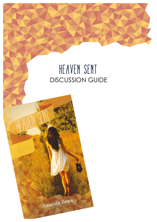# Heaven Sent DISCUSSION GUIDE

Amanda Bews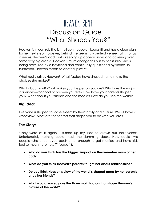## Heaven Sent Discussion Guide 1 "What Shapes You?"

Heaven is in control. She is intelligent, popular, keeps fit and has a clear plan for her next step. However, behind the seemingly perfect veneer, all is not as it seems. Heaven's dad is into keeping up appearances and covering over some very big cracks. Heaven's mum disengages out to her studio. She is being pressured by a boyfriend and continually questioned by friends. In frustration, Heaven resorts to another playlist.

What really drives Heaven? What factors have shaped her to make the choices she makes?

What about you? What makes you the person you are? What are the major influences—for good or bad—in your life? How have your parents shaped you? What about your friends and the media? How do you see the world?

## **Big Idea:**

Everyone is shaped to some extent by their family and culture. We all have a worldview. What are the factors that shape you to be who you are?

## **The Story:**

"They were at it again. I turned up my iPod to drown out their voices. Unfortunately nothing could mask the slamming doors. How could two people who once loved each other enough to get married and have kids feel so much hate now?" (page 1).

- **Who do you think has the biggest impact on Heaven—her mum or her dad?**
- **What do you think Heaven's parents taught her about relationships?**
- **Do you think Heaven's view of the world is shaped more by her parents or by her friends?**
- **What would you say are the three main factors that shape Heaven's picture of the world?**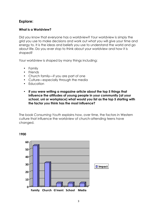## **Explore:**

#### **What is a Worldview?**

Did you know that everyone has a worldview? Your worldview is simply the grid you use to make decisions and work out what you will give your time and energy to. It is the ideas and beliefs you use to understand the world and go about life. Do you ever stop to think about your worldview and how it is shaped?

Your worldview is shaped by many things including:

- Family
- Friends
- Church family—if you are part of one
- Culture—especially through the media
- Education
- **If you were writing a magazine article about the top 5 things that influence the attitudes of young people in your community (at your school, uni or workplace) what would you list as the top 5 starting with the factor you think has the most influence?**

The book *Consuming Youth* explains how, over time, the factors in Western culture that influence the worldview of church-attending teens have changed.

**1900**

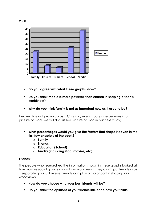

- **Do you agree with what these graphs show?**
- **Do you think media is more powerful than church in shaping a teen's worldview?**
- **Why do you think family is not as important now as it used to be?**

Heaven has not grown up as a Christian, even though she believes in a picture of God (we will discuss her picture of God in our next study).

- **What percentages would you give the factors that shape Heaven in the first few chapters of the book?**
	- o **Family**
	- o **Friends**
	- o **Education (School)**
	- o **Media (including iPod, movies, etc)**

#### **Friends:**

**2000**

The people who researched the information shown in these graphs looked at how various social groups impact our worldviews. They didn't put friends in as a separate group. However friends can play a major part in shaping our worldviews.

- **How do you choose who your best friends will be?**
- **Do you think the opinions of your friends influence how you think?**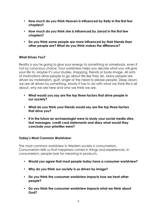- **How much do you think Heaven is influenced by Kelly in the first few chapters?**
- **How much do you think she is influenced by Jarrod in the first few chapters?**
- **Do you think some people are more influenced by their friends than other people are? What do you think makes the difference?**

## **What Drives You?**

Reality is you're going to give your energy to something or somebody, even if not by conscious choice. Your worldview helps you decide what you will give your life to. Maybe it's your studies, shopping, friends or body image. All sorts of motivations drive people to go about life like they do. Many people are driven by materialism, guilt, anger or the need to please people. Deep down, we are all driven by something. Mostly it has to do with what we think life is all about, why we are here and who we think we are.

- **What would you say are the top three factors that drive people in our society?**
- **What do you think your friends would say are the top three factors that drive you?**
- **If in the future an archaeologist were to study your social media sites, text messages, credit card statements and diary what would they conclude your priorities were?**

## **Today's Most Common Worldview:**

The most common worldview in Western society is consumerism. Consumerism tells us that happiness comes in things and experiences. In consumerism, people look for meaning in products.

- **Would you agree that most people today have a consumer worldview?**
- **Why do you think our society is so driven by image?**
- **Do you think the consumer worldview impacts how we treat other people?**
- **Do you think the consumer worldview impacts what we think about God?**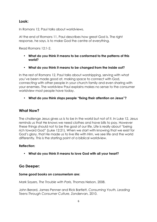## **Look:**

In Romans 12, Paul talks about worldviews.

At the end of Romans 11, Paul describes how great God is. The right response, he says, is to make God the centre of everything.

Read Romans 12:1-2.

- **What do you think it means to be conformed to the patterns of this world?**
- **What do you think it means to be changed from the inside out?**

In the rest of Romans 12, Paul talks about worshipping, serving with what you've been made good at, making space to connect with God, connecting with other people in your church family and even sharing with your enemies. The worldview Paul explains makes no sense to the consumer worldview most people have today.

• **What do you think stops people "fixing their attention on Jesus"?**

## **What Now?**

The challenge Jesus gives us is to be in the world but not of it. In Luke 12, Jesus reminds us that He knows we need clothes and have bills to pay. However these things should not to be the goal of our life. Life is really about "being rich toward God" (Luke 12:21). When we start with knowing that we exist for God's glory, that He made us to live life with Him, we see life and the world differently. This is the starting point of a biblical worldview.

#### **Reflection:**

• **What do you think it means to love God with all your heart?**

## **Go Deeper:**

#### **Some good books on consumerism are:**

Mark Sayers, *The Trouble with Paris*, Thomas Nelson, 2008.

John Berard, James Penner and Rick Bartlett, *Consuming Youth, Leading Teens Through Consumer Culture*, Zondervan, 2010.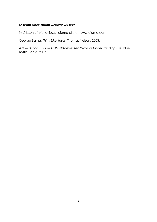#### **To learn more about worldviews see:**

Ty Gibson's "Worldviews" digma clip at www.digma.com

George Barna, *Think Like Jesus,* Thomas Nelson, 2003.

*A Spectator's Guide to Worldviews: Ten Ways of Understanding Life.* Blue Bottle Books, 2007.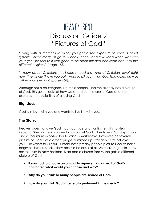## Heaven Sent Discussion Guide 2 "Pictures of God"

*"Living with a mother like mine, you got a fair exposure to various belief systems. She'd made us go to Sunday school for a few years when we were younger. She told us it was good to be open-minded and learn about all the different religions" (page 158).*

*"I knew about Christians . . . I didn't need that kind of Christian 'love' right now. The whole 'I love you but I want to kill you'-thing God had going on was rather unappealing" (page 160).*

Although not a churchgoer, like most people, Heaven already has a picture of God. This guide looks at how we shape our pictures of God and then explores the possibilities of a loving God.

## **Big Idea:**

God is in love with you and wants to live life with you.

## **The Story:**

Heaven does not give God much consideration until she shifts to New Zealand. She had learnt some things about God in her time in Sunday school and as her mum exposed her to various worldviews. However, her overall picture of God is of a distant judge, summed up strangely as "God loves you—He wants to kill you." Unfortunately many people picture God as harsh, angry or disinterested, if they believe He exists at all. As Heaven gets to know her relatives in New Zealand, Brad and a church family, she gets a different picture of God.

- **If you had to choose an animal to represent an aspect of God's character, what would you choose and why?**
- **Why do you think so many people are scared of God?**
- **How do you think God is generally portrayed in the media?**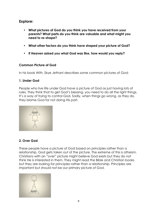## **Explore:**

- **What pictures of God do you think you have received from your parents? What parts do you think are valuable and what might you need to re-shape?**
- **What other factors do you think have shaped your picture of God?**
- **If Heaven asked you what God was like, how would you reply?**

#### **Common Picture of God**

In his book *With*, Skye Jethani describes some common pictures of God:

#### **1. Under God**

People who live life under God have a picture of God as just having lots of rules. They think that to get God's blessing, you need to do all the right things. It's a way of trying to control God. Sadly, when things go wrong, as they do, they blame God for not doing His part.



## **2. Over God**

These people have a picture of God based on principles rather than a relationship. God gets taken out of the picture. The extreme of this is atheism. Christians with an "over" picture might believe God exists but they do not think He is interested in them. They might read the Bible and Christian books but they are looking for principles rather than a relationship. Principles are important but should not be our primary picture of God.

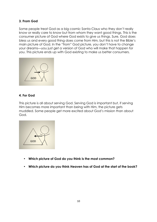## **3. From God**

Some people treat God as a big cosmic Santa Claus who they don't really know or really care to know but from whom they want good things. This is the consumer picture of God where God exists to give us things. Sure, God does bless us and every good thing does come from Him, but this is not the Bible's main picture of God. In the "from" God picture, you don't have to change your dreams—you just get a version of God who will make that happen for you. This picture ends up with God existing to make us better consumers.



## **4. For God**

This picture is all about serving God. Serving God is important but, if serving Him becomes more important than being with Him, the picture gets muddled. Some people get more excited about God's mission than about God.



- **Which picture of God do you think is the most common?**
- **Which picture do you think Heaven has of God at the start of the book?**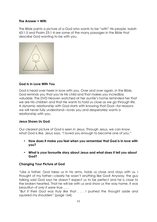#### **The Answer = With**

The Bible paints a picture of a God who wants to be "with" His people. Isaiah 43:1-5 and Psalm 23:1-4 are some of the many passages in the Bible that describe God wanting to be with you.



## **God Is In Love With You**

God is head over heels in love with you. Over and over again, in the Bible, God reminds you that you're His child and that makes you incredibly valuable. The DVD Heaven watched at her auntie's home reminded her that we are His children and that He wants to hold us close as we go through life. A dynamic relationship with God starts with knowing that God—for reasons we will never fully understand—loves you and desperately wants a relationship with you.

#### **Jesus Shows Us God:**

Our clearest picture of God is seen in Jesus. Through Jesus, we can know what God is like. Jesus says, "I loved you enough to become one of you."

- **How does it make you feel when you remember that God is in love with you?**
- **What is your favourite story about Jesus and what does it tell you about God?**

#### **Changing Your Picture of God**

"Like a father, God takes us in his arms, holds us close and stays with us. I thought of my father—clearly he wasn't anything like God! Anyway, the guy talking said God says he doesn't expect us to be perfect and he is close to the broken hearted. That he will be with us and show us the way home. *It was beautiful—if only it were true. . . .*

*"But if their God was truly like that . . .* I pushed the thought aside and squared my shoulders" (page 164).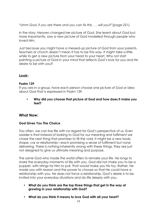*"Umm God, if you are there and you can fix this . . . will you?"(page 221).*

In the story, Heaven changed her picture of God. She learnt about God but, more importantly, saw a new picture of God modelled through people who loved Him.

Just because you might have a messed-up picture of God from your parents, teachers or church doesn't mean it has to be this way. It might take a little while to get a new picture from your head to your heart. Why not start painting a picture of God in your mind that reflects God's love for you and His desire to be with you?

## **Look:**

#### **Psalm 139**

If you are in a group, have each person choose one picture of God or idea about God that is expressed in Psalm 139.

• **Why did you choose that picture of God and how does it make you feel?**

## **What Now:**

#### **God Gives You The Choice**

Too often, we can live life with no regard for God's perspective of us. Even sadder is that instead of looking to God for our meaning and fulfilment we chase the next thing that promises to fill the void. It might be a new body shape, car or relationship—each promising a sense of fulfilment but none delivering. There is nothing inherently wrong with these things, they are just not designed to give us ultimate meaning and purpose.

The same God who made the world offers to remake your life. He longs to share the everyday moments of life with you. God did not make you to be a puppet, with strings for Him to pull. That would make you His toy. Rather, He made you with reason and the power to choose so that He could have a relationship with you. He does not force a relationship. God's desire is to be invited into your everyday situations and do life deeply with you.

- **What do you think are the top three things that get in the way of growing in your relationship with God?**
- **What do you think it means to love God with all your heart?**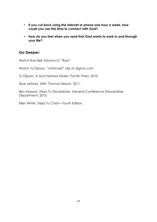- **If you cut back using the internet or phone one hour a week, how could you use this time to connect with God?**
- **How do you feel when you read that God wants to work in and through your life?**

## **Go Deeper:**

Watch Rob Bell, Nooma 01 "Rain"

Watch Ty Gibson, "Unforced" clip at digma.com

Ty Gibson, *A God Named Desire,* Pacific Press, 2010.

Skye Jethani, *With,* Thomas Nelson, 2011.

Ben Maxson, *Steps To Discipleship*, General Conference Stewardship Department, 2010.

Ellen White, *Steps To Christ*—Youth Edition.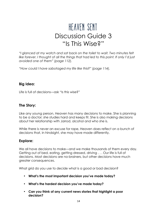## Heaven Sent Discussion Guide 3 "Is This Wise?"

*"I glanced at my watch and sat back on the toilet to wait. Two minutes felt*  like forever. I thought of all the things that had led to this point. If only I'd just *avoided one of them" (page 112).*

*"How could I have sabotaged my life like this?" (page 114).*

## **Big Idea:**

Life is full of decisions—ask "Is this wise?"

## **The Story:**

Like any young person, Heaven has many decisions to make. She is planning to be a doctor; she studies hard and keeps fit. She is also making decisions about her relationship with Jarrod, alcohol and who she is.

While there is never an excuse for rape, Heaven does reflect on a bunch of decisions that, in hindsight, she may have made differently.

## **Explore:**

We all have decisions to make—and we make thousands of them every day. Getting out of bed, eating, getting dressed, driving . . . Our life is full of decisions. Most decisions are no-brainers, but other decisions have much greater consequences.

What grid do you use to decide what is a good or bad decision?

- **What's the most important decision you've made today?**
- **What's the hardest decision you've made today?**
- **Can you think of any current news stories that highlight a poor decision?**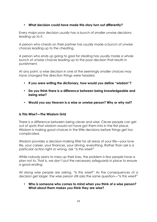#### • **What decision could have made this story turn out differently?**

Every major poor decision usually has a bunch of smaller unwise decisions leading up to it.

A person who cheats on their partner has usually made a bunch of unwise choices leading up to the cheating.

A person who ends up going to gaol for stealing has usually made a whole bunch of unwise choices leading up to the poor decision that results in punishment.

At any point, a wise decision in one of the seemingly smaller choices may have changed the direction things were headed.

- **If you were writing the dictionary, how would you define "wisdom"?**
- **Do you think there is a difference between being knowledgeable and being wise?**
- **Would you say Heaven is a wise or unwise person? Why or why not?**

#### **Is This Wise?—The Wisdom Grid**

There is a difference between being clever and wise. Clever people can get out of spots that wisdom would not have got them into in the first place. Wisdom is making good choices in the little decisions before things get too complicated.

Wisdom provides a decision-making filter for all areas of your life—your love life, your career, your finances, your driving, everything. Rather than ask is a particular action right or wrong, ask "Is this wise?"

While nobody plans to mess up their lives, the problem is few people have a plan not to. That is, we don't put the necessary safeguards in place to ensure a good ending.

All along wise people are asking, "Is this wise?" As the consequences of a decision get larger, the wise person still asks the same question—"Is this wise?"

• **Who is someone who comes to mind when you think of a wise person? What about them makes you think they are wise?**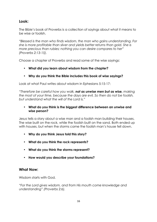## **Look:**

The Bible's book of Proverbs is a collection of sayings about what it means to be wise or foolish.

*"Blessed is the man who finds wisdom, the man who gains understanding. For she is more profitable than silver and yields better returns than gold. She is more precious than rubies; nothing you can desire compares to her" (Proverbs 2:13-15).*

Choose a chapter of Proverbs and read some of the wise sayings:

- **What did you learn about wisdom from the chapter?**
- **Why do you think the Bible includes this book of wise sayings?**

Look at what Paul writes about wisdom in Ephesians 5:15-17:

"*Therefore be careful how you walk, not as unwise men but as wise, making the most of your time, because the days are evil. So then do not be foolish, but understand what the will of the Lord is."*

#### • **What do you think is the biggest difference between an unwise and wise person?**

Jesus tells a story about a wise man and a foolish man building their houses. The wise built on the rock, while the foolish built on the sand. Both ended up with houses, but when the storms came the foolish man's house fell down.

- **Why do you think Jesus told this story?**
- **What do you think the rock represents?**
- **What do you think the storms represent?**
- **How would you describe your foundations?**

## **What Now:**

Wisdom starts with God.

*"For the Lord gives wisdom, and from His mouth come knowledge and understanding" (Proverbs 2:6).*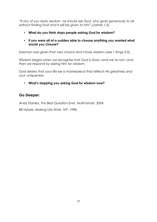*"If any of you lacks wisdom, he should ask God, who gives generously to all without finding fault and it will be given to him" (James 1:5).*

- **What do you think stops people asking God for wisdom?**
- **If you were all of a sudden able to choose anything you wanted what would you choose?**

Solomon was given that very choice and chose wisdom (see 1 Kings 3:5).

Wisdom begins when we recognise that God is God—and we're not—and then we respond by asking Him for wisdom.

God desires that your life be a masterpiece that reflects His greatness and your uniqueness.

• **What's stopping you asking God for wisdom now?**

## **Go Deeper:**

Andy Stanley, *The Best Question Ever,* Multnomah, 2004.

Bill Hybels, *Making Life Work*, IVP, 1998.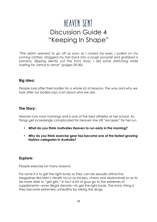## Heaven Sent Discussion Guide 4 "Keeping In Shape"

*"The alarm seemed to go off as soon as I closed my eyes. I pulled on my running clothes, dragged my hair back into a rough ponytail and grabbed a banana. Slipping silently out the front door, I did some stretching while waiting for Jarrod to arrive" (pages 29-30).*

## **Big Idea:**

People look after their bodies for a whole lot of reasons. The way and why we look after our bodies says a lot about who we are.

## **The Story:**

Heaven runs most mornings and is one of the best athletes at her school. As things get increasingly complicated for Heaven she still "escapes" for her run.

- **What do you think motivates Heaven to run early in the morning?**
- **Why do you think exercise gear has become one of the fastest growing fashion categories in Australia?**

## **Explore:**

People exercise for many reasons.

For some it is to get the right body so they can be sexually attractive. Magazines like *Men's Health* focus on biceps, chests and abdominals so as to be more able to "get girls." In fact a lot of guys go to the extremes of supplements—even illegal steroids—to get the right body. The ironic thing is they become extremely unhealthy by taking the drugs.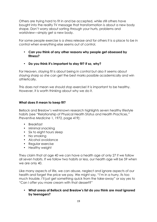Others are trying hard to fit in and be accepted, while still others have bought into the reality TV message that transformation is about a new body shape. Don't worry about sorting through your hurts, problems and worldview—simply get a new body.

For some people exercise is a stress release and for others it is a place to be in control when everything else seems out of control.

- **Can you think of any other reasons why people get obsessed by fitness?**
- **Do you think it's important to stay fit? If so, why?**

For Heaven, staying fit is about being in control but also it seems about staying sharp so she can get the best marks possible academically and win athletically.

This does not mean we should stop exercise! It is important to be healthy. However, it is worth thinking about why we do it.

#### **What does it mean to keep fit?**

Bellock and Breslow's well-known research highlights seven healthy lifestyle habits (see *"*Relationship of Physical Health Status and Health Practices,*" Preventive Medicine* 1, 1972, page 419):

- Breakfast
- Minimal snacking
- Six to eight hours sleep
- No smoking
- Alcohol avoidance
- Regular exercise
- Healthy weight

They claim that at age 40 we can have a health age of only 27 if we follow all seven habits. If we follow two habits or less, our health age will be 59 when we are only 40.

Like many aspects of life, we can abuse, neglect and ignore aspects of our health and forget the price we pay. We might say, "I'm in a hurry, its too much trouble, I'll just get something quick from the take-away" or say yes to "Can I offer you more cream with that dessert?"

• **What areas of Bellock and Breslow's list do you think are most ignored by teenagers?**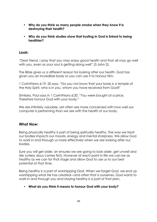- **Why do you think so many people smoke when they know it is destroying their health?**
- **Why do you think studies show that trusting in God is linked to being healthier?**

## **Look:**

"Dear friend, I pray that you may enjoy good health and that all may go well with you, even as your soul is getting along well" (3 John 2).

The Bible gives us a different reason for looking after our health. God has given you an incredible body so you can use it to honour Him.

1 Corinthians 6:19, 20 says, "Do you not know that your body is a temple of the Holy Spirit, who is in you, whom you have received from God?'

Similarly, Paul says in 1 Corinthians 6:20, "You were bought at a price. Therefore honour God with your body."

We are infinitely valuable, yet often are more concerned with how well our computer is performing than we are with the health of our body.

## **What Now:**

Being physically healthy is part of being spiritually healthy. The way we treat our bodies impacts our moods, energy and mental sharpness. We allow God to work in and through us more effectively when we are looking after our bodies.

Sure you will get older, sin ensures we are going to look older, get unwell and die (unless Jesus comes first). However at each point in life we can be as healthy as we can for that stage and allow God to use us to our best potential at that time.

Being healthy is a part of worshipping God. When we forget God, we end up worshipping what He has created—and often that is ourselves. God wants to work in and through you and staying healthy is a part of that plan.

#### • **What do you think it means to honour God with your body?**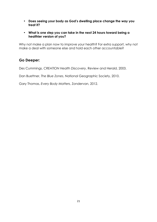- **Does seeing your body as God's dwelling place change the way you treat it?**
- **What is one step you can take in the next 24 hours toward being a healthier version of you?**

Why not make a plan now to improve your health? For extra support, why not make a deal with someone else and hold each other accountable?

## **Go Deeper:**

Des Cummings, *CREATION Health Discovery*, Review and Herald, 2003.

Dan Buettner, *The Blue Zones*, National Geographic Society, 2010.

Gary Thomas, *Every Body Matters*, Zondervan, 2012.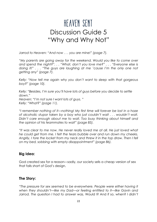## Heaven Sent Discussion Guide 5 "Why and Why Not"

*Jarrod to Heaven: "And now . . . you are mine!" (page 7).*

*"My parents are going away for the weekend. Would you like to come over and spend the night?". . . "What, don't you love me?" . . . "Everyone else is doing it!" . . . "The guys are laughing at me 'cause I'm the only one not getting any" (page 7).*

*Kelly: "Now tell me again why you don't want to sleep with that gorgeous boy?" (page 10).*

*Kelly: "Besides, I'm sure you'll have lots of guys before you decide to settle down." Heaven: "I'm not sure I want lots of guys. " Kelly: "What?" (page 11).*

*"I remember nothing of it—nothing! My first time will forever be lost in a haze of alcoholic stupor taken by a boy who just couldn't wait . . . wouldn't wait. Didn't care enough about me to wait. Too busy thinking about himself and the opinion of his teammates to wait" (page 85).*

*"It was clear to me now. He never really loved me at all. He just loved what he could get from me. I felt the tears bubble over and run down my cheeks. Angrily, I tore the locket from my neck and threw it in the top draw. Then I fell on my bed, sobbing with empty disappointment" (page 86).*

## **Big Idea:**

God created sex for a reason—sadly, our society sells a cheap version of sex that falls short of God's design.

## **The Story:**

*"The pressure for sex seemed to be everywhere. People were either having it when they shouldn't—like my Dad—or feeling entitled to it—like Gavin and Jarrod. The question I had to answer was,* Would I? And if so, when? *I didn't*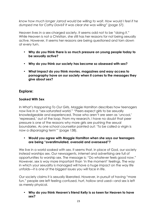*know how much longer Jarrod would be willing to wait. How would I feel if he dumped me for Cathy Davis? It was clear she was willing" (page 57).*

Heaven lives in a sex-charged society. It seems odd not to be "doing it." While Heaven is not a Christian, she still has her reasons for not being sexually active. However, it seems her reasons are being questioned and torn down at every turn.

- **Why do you think there is so much pressure on young people today to be sexually active?**
- **Why do you think our society has become so obsessed with sex?**
- **What impact do you think movies, magazines and easy access to pornography have on our society when it comes to the messages they give about sex?**

## **Explore:**

#### **Soaked With Sex**

In *What's Happening To Our Girls,* Maggie Hamilton describes how teenagers now live in a "sex-saturated world." "Peers expect girls to be sexually knowledgeable and experienced. Those who aren't are seen as 'uncool,' 'repressed,' out of the loop. From my research, I have no doubt that peer pressure is one of the reasons why more girls are pushing the sexual boundaries. As one school counsellor pointed out: 'To be called a virgin is now a disparaging term'" (page 138).

#### • **Would you agree with Maggie Hamilton when she says our teenagers are being "overstimulated, oversold and oversexed"?**

We live in a world soaked with sex. It seems that, in place of God, our society instead worships sex. Our newsagents, internet and advertising are full of opportunities to worship sex. The message is: "Do whatever feels good now." However, sex is way more important than 'in the moment' feelings. The way in which your sexuality is managed will have a huge impact on the way life unfolds—it is one of the biggest issues you will face in life.

Our society claims it is sexually liberated. However, in pursuit of having "more fun," people are left feeling confused, hurt, hollow and used—and sex is left as merely physical.

#### • **Why do you think Heaven's friend Kelly is so keen for Heaven to have sex?**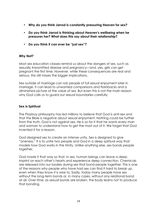- **Why do you think Jarrod is constantly pressuring Heaven for sex?**
- **Do you think Jarrod is thinking about Heaven's wellbeing when he pressures her? What does this say about their relationship?**
- **Do you think it can ever be "just sex"?**

#### **Why Not?**

Most sex education classes remind us about the dangers of sex, such as sexually transmitted disease and pregnancy—and, yes, girls can get pregnant the first time. However, while these consequences are real and serious, this still misses the bigger implications.

Sex outside of marriage can rob people of full sexual enjoyment later in marriage. It can lead to unwanted comparisons and flashbacks and a diminished picture of the value of sex. But even this is not the main reason why God calls us to guard our sexual boundaries carefully.

#### **Sex Is Spiritual**

The Playboy philosophy has led millions to believe that God is anti-sex and that the Bible is negative about sexual enjoyment. Nothing could be further from the truth. God is not against sex, He is so *for it* that he wants every man and woman to understand how to get the most out of it. We forget that God invented it for a reason.

God designed sex to create an intense unity. Sex is designed to give "oneness." It is to unite two people and God in a deep spiritual way that models how God works in the trinity. Unlike anything else, sex bonds people together.

God made it that way so that, in sex, human beings can leave a deep imprint on each other's hearts and experience deep connection. Chemicals are released into our bodies during sex that bond people together. This is one of the reasons why people who have had sex can find it hard to break up, even when they know it is wise to. Sadly, today many people have sex without the long-term bonds or, in many cases, without any relational bond at all. Over time, as sexual bonds are broken, the body learns not to produce that bonding.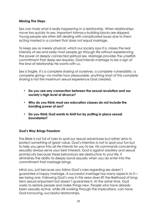#### **Missing The Steps**

Sex can mask what is really happening in a relationship. When relationships move too quickly to sex, important intimacy-building blocks are skipped. Young people are often left dealing with complicated issues due to them acting married in a context that does not equal marriage.

To keep sex as merely physical, which our society says it is, misses the real intensity of sex and sadly most people go through life without experiencing the power of deeply connected spiritual sex. Marriage provides the unselfish commitment that deep sex requires. God intends marriage to be a sign of the kind of relationship He wants with us.

Sex is fragile. It's a complete sharing of ourselves, a complete vulnerability, a complete giving—no matter how pleasurable, anything short of this complete sharing is not the maximum sexual experience God created.

- **Do you see any connection between the sexual revolution and our society's high level of divorce?**
- **Why do you think most sex education classes do not include the bonding power of sex?**
- **Do you think God wants to limit fun by putting in place sexual boundaries?**

#### **God's Way Brings Freedom**

The Bible is not full of rules to spoil our sexual adventures but rather aims to protect something of great value. God's intention is not to spoil your fun but to help you grow into all He intends for you to be. His commands concerning sexuality always serve your best interests. God is against adultery and sexual promiscuity because these behaviours are destructive to your life. It diminishes the ability to deeply bond sexually when you do enter into the commitment that marriage brings.

Mind you, just because you follow God's rules regarding sex doesn't guarantee a happy marriage. A successful marriage has many aspects to it sex being one. Following God's way in this area does lift the likelihood of longterm sexual enjoyment but doesn't guarantee it. At the same time, God works to restore people and make things new. People who have already been sexually active, while still working through the implications, can have God-honouring, successful relationships.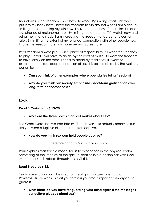Boundaries bring freedom. This is how life works. By limiting what junk food I put into my body now, I have the freedom to run around when I am older. By limiting the sun burning my skin now, I have the freedom of healthier skin and less chance of melanoma later. By limiting the amount of TV I watch now and using the time to study, I am increasing the freedom of career choices for later. By limiting the extent of my physical connection with other people now, I have the freedom to enjoy more-meaningful sex later.

Real freedom always puts us in a place of responsibility. If I want the freedom to play Mozart, I will have to abide by the laws of music. If I want the freedom to drive safely on the road, I need to abide by road rules. If I want to experience the real deep connection of sex, it is best to abide by the Maker's design for it.

- **Can you think of other examples where boundaries bring freedom?**
- **Why do you think our society emphasises short-term gratification over long-term connectedness?**

## **Look:**

#### **Read 1 Corinthians 6:13-20**:

• **What are the three points that Paul makes about sex?**

The Greek word that we translate as "flee" in verse 18 actually means to run like you were a fugitive about to be taken captive.

• **How do you think sex can hold people captive?**

"Therefore honour God with your body."

Paul explains that sex is a model for us to experience in the physical realm something of the intensity of the spiritual relationship a person has with God when he or she is reborn through Jesus Christ.

#### **Read Proverbs 6:32**:

Sex is powerful and can be used for great good or great destruction. Proverbs also reminds us that your brain is your most important sex organ, so guard it.

• **What ideas do you have for guarding your mind against the messages our culture gives us about sex?**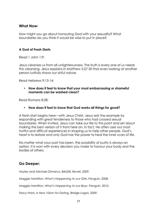## **What Now:**

How might you go about honouring God with your sexuality? What boundaries do you think it would be wise to put in place?

#### **A God of Fresh Starts**

Read 1 John 1:9:

Jesus cleanses us from all unrighteousness. The truth is every one of us needs this cleansing. Jesus explains in Matthew 5:27-30 that even looking at another person lustfully shows our sinful nature.

Read Hebrews 9:13-14:

• **How does it feel to know that your most embarrassing or shameful moments can be washed clean?**

Read Romans 8:28:

• **How does if feel to know that God works all things for good?**

A fresh start begins here—with Jesus Christ. Jesus sets the example by responding with great tenderness to those who had crossed sexual boundaries. When invited, Jesus can take our life to this point and set about making the best version of it from here on. In fact, He often uses our most hurtful and difficult experiences in shaping us to help other people. God's heart is to restore and only God has the power to heal the inner scars of life.

No matter what your past has been, the possibility of purity is always an option. It is won with every decision you make to honour your body and the bodies of others.

## **Go Deeper:**

Hayley and Michael Dimarco, *B4UD8*, Revell, 2009.

Maggie Hamilton, *What's Happening to our Girls*. Penguin, 2008.

Maggie Hamilton, *What's Happening to our Boys*. Penguin, 2010.

Stacy Hord, *A New Vision for Dating*. Bridge-Logos, 2009.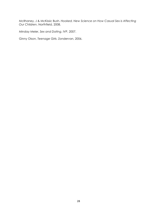McIlhaney, J & McKissic Bush. *Hooked, New Science on How Casual Sex is Affecting Our Children*, Northfield, 2008.

Minday Meier, *Sex and Dating*. IVP, 2007.

Ginny Olson, *Teenage Girls*. Zondervan, 2006.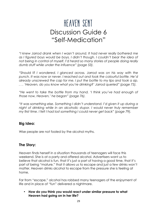## Heaven Sent Discussion Guide 6 "Self-Medication"

*"I knew Jarrod drank when I wasn't around. It had never really bothered me as I figured boys would be boys. I didn't though. I couldn't bear the idea of not being in control of myself. I'd heard so many stories of people doing really dumb stuff while under the influence" (page 53).*

*"*Should I*? I wondered. I glanced across. Jarrod was on his way with the punch. It was now or never. I reached out and took the colourful bottle. He'd already unscrewed the cap for me. I put the bottle to my lips and took a sip. . . . 'Heaven, do you know what you're drinking?' Jarrod queried" (page 75).*

*"He went to take the bottle from my hand. 'I think you've had enough of those now, Heaven,' he began" (page 76).*

*"It was something else. Something I didn't understand. I'd given it up during a night of drinking while in an alcoholic stupor. I would never truly remember my first time. I felt I had lost something I could never get back" (page 79).*

## **Big Idea:**

Wise people are not fooled by the alcohol myths.

## **The Story:**

Heaven finds herself in a situation thousands of teenagers will face this weekend. She is at a party and offered alcohol. Advertisers want us to believe that alcohol is fun, that it's just a part of having a good time, that it's part of being "mature," that it allows us to escape and just a few drinks won't matter. Heaven drinks alcohol to escape from the pressure she is feeling at home.

Far from "escape," alcohol has robbed many teenagers of the enjoyment of life and in place of "fun" delivered a nightmare.

• **How do you think you would react under similar pressure to what Heaven had going on in her life?**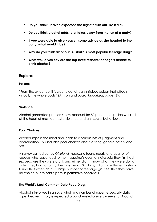- **Do you think Heaven expected the night to turn out like it did?**
- **Do you think alcohol adds to or takes away from the fun at a party?**
- **If you were able to give Heaven some advice as she headed to the party, what would it be?**
- **Why do you think alcohol is Australia's most popular teenage drug?**
- **What would you say are the top three reasons teenagers decide to drink alcohol?**

## **Explore:**

#### **Poison:**

"From the evidence, it is clear alcohol is an insidious poison that affects virtually the whole body" (Ashton and Laura, *Uncorked*, page 19).

#### **Violence:**

Alcohol-generated problems now account for 80 per cent of police work. It is at the heart of most domestic violence and anti-social behaviour.

#### **Poor Choices:**

Alcohol impairs the mind and leads to a serious loss of judgment and coordination. This includes poor choices about driving, general safety and sex.

A survey carried out by *Girlfriend* magazine found nearly one-quarter of readers who responded to the magazine's questionnaire said they first had sex because they were drunk and either didn't know what they were doing, or felt they had to satisfy their boyfriends. Similarly, a La Trobe University study found that when drunk a large number of teenage girls feel that they have no choice but to participate in permissive behaviour.

#### **The World's Most Common Date Rape Drug:**

Alcohol is involved in an overwhelming number of rapes, especially date rape. Heaven's story is repeated around Australia every weekend. Alcohol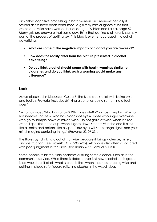diminishes cognitive processing in both women and men—especially if several drinks have been consumed. A girl may miss or ignore cues that would otherwise have warned her of danger (Ashton and Laura, page 52). Many girls are unaware that some guys think that getting a girl drunk is simply part of the process of getting sex. This idea is even encouraged in alcohol advertising.

- **What are some of the negative impacts of alcohol you are aware of?**
- **How does the reality differ from the picture presented in alcohol advertising?**
- **Do you think alcohol should come with health warnings similar to cigarettes and do you think such a warning would make any difference?**

## **Look:**

As we discussed in Discussion Guide 5, the Bible deals a lot with being wise and foolish. Proverbs includes drinking alcohol as being something a fool does"

"Who has woe? Who has sorrow? Who has strife? Who has complaints? Who has needless bruises? Who has bloodshot eyes? Those who linger over wine, who go to sample bowls of mixed wine. Do not gaze at wine when it is red, when it sparkles in the cup, when it goes down smoothly! In the end it bites like a snake and poisons like a viper. Your eyes will see strange sights and your mind imagine confusing things" (Proverbs 23:29-33).

The Bible says drinking alcohol is unwise because it brings violence, misery and destruction (see Proverbs 4:17; 23:29-35). Alcohol is also often associated with poor judgment in the Bible (see Isaiah 28:7, Samuel 5:1-30).

Some people think the Bible endorses drinking some alcohol, such as in the communion service. While there is debate over just how alcoholic this grape juice would be, if at all, what is clear is that when it comes to being wise and putting in place safe "guard rails," no alcohol is the wisest idea.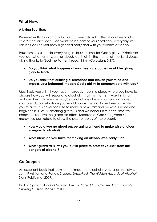## **What Now:**

#### **A Living Sacrifice:**

Remember that in Romans 12:1-3 Paul reminds us to offer all our lives to God as a "living sacrifice." God wants to be part of your "ordinary, everyday life." This includes on Saturday night at a party and with your friends at school.

Paul reminds us to do everything in Jesus' name for God's glory: "Whatever you do, whether in word or deed, do it all in the name of the Lord Jesus, giving thanks to God the Father through him" (Colossians 3:17).

- **Do you think what happens at most teenage parties would be giving glory to God?**
- **Do you think that drinking a substance that clouds your mind and impairs your judgment impacts God's ability to communicate with you?**

Most likely you will—if you haven't already—be in a place where you have to choose how you will respond to alcohol. It's at this moment wise thinking really makes a difference. Maybe alcohol has already hurt you or caused you to end up in situations you would now rather not have been in. While you're alive, it's never too late to make a new start and be wise. Grace and forgiveness is Jesus' amazing gift to us and we honour him each time we choose to receive the grace He offers. Because of God's forgiveness and mercy, we can refuse to allow the past to rob us of the present.

- **How would you go about encouraging a friend to make wise choices in regard to alcohol?**
- **What ideas do you have for making an alcohol-free party fun?**
- **What "guard rails" will you put in place to protect yourself from the dangers of alcohol?**

## **Go Deeper:**

An excellent book that looks at the impact of alcohol in Australian society is: John F Ashton and Ronald S Laura, *Uncorked: The Hidden Hazards of Alcohol*, Signs Publishing, 2009.

Dr Aric Sigman, *Alcohol Nation: How To Protect Our Children From Today's Drinking Culture,* Piatkus, 2011.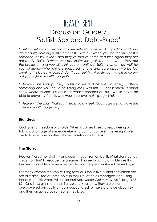## Heaven Sent Discussion Guide 7 "Selfish Sex and Date-Rape"

*"'Selfish! Selfish? You wanna call me selfish?' I shrieked. I lunged forward and jammed my forefinger into his chest. 'Selfish is when you pester and pester someone for sex, even when they've told you time and time again they are not ready. Selfish is when you administer the guilt treatment when they put the brakes on and you still think you are entitled. Selfish is when you wait for your girlfriend—who you are supposed to love and care about—to be too drunk to think clearly. Jarrod, don't you see! My virginity was my gift to give not your right to take!'" (page 97).*

*"'Heaven,' he said, pushing up his glasses and his eyes softening, 'is there something else you should be telling me? Was this . . . consensual?' I didn't know where to look.* Of course it wasn't consensual. But I would never be able to prove it. After all, who would believe me?" *(page 116).*

*"'Heaven,' she said, 'that's . . .' I leapt to my feet. 'Look, can we not have this conversation'" (page 118).*

## **Big Idea:**

God gives us freedom of choice. When it comes to sex, overpowering or taking advantage of someone else who cannot consent is never right. We are to honour one another above ourselves in all areas.

## **The Story:**

Heaven "loses' her virginity and doesn't even remember it. What starts out as a night of "fun' to escape the pressure of home turns into a nightmare that Heaven cannot fully remember and has consequences she will never forget.

For many women this story will ring familiar. One in five Australian women are sexually assaulted at some point in their life, often as teenagers (see Craig Henderson, "His Words Will Never Hurt Me," *Marie Claire*, May 2012, pages 78- 82). One in six girls share a similar story to Heaven's. They are either overpowered physically or too incapacitated to make a choice about sex and then assaulted by someone they know.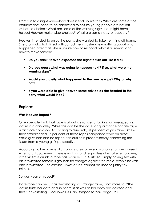From fun to a nightmare—how does it end up like this? What are some of the attitudes that need to be addressed to ensure young people are not left without a choice? What are some of the warning signs that might have helped Heaven make wiser choices? What are some steps to recovery?

Heaven intended to enjoy the party; she wanted to take her mind off home. She drank alcohol, flirted with Jarrod then . . . she knew nothing about what happened after that. She is unsure how to respond, what it all means and how to move forward.

- **Do you think Heaven expected the night to turn out like it did?**
- **Did you guess what was going to happen next? If so, what were the warning signs?**
- **Would you classify what happened to Heaven as rape? Why or why not?**
- **If you were able to give Heaven some advice as she headed to the party what would it be?**

## **Explore:**

#### **Was Heaven Raped?**

Often people think that rape is about a stranger attacking an unsuspecting victim in a dark alley. While this can be the case, acquaintance or date rape is far more common. According to research, 84 per cent of girls raped knew their attacker and 57 per cent of those rapes happened while on dates. While guys can also be raped, this outline is predominately addressing the issues from a young girl's perspective.

According to law in most Australian states, a person is unable to give consent when drunk. So, even if there is no fight and regardless of what else happens, if the victim is drunk, a rape has occurred. In Australia, simply having sex with an intoxicated female is grounds for charges against the male, even if he was also intoxicated. The excuse, "I was drunk" cannot be used to justify sex crimes.

So was Heaven raped?

Date rape can be just as devastating as stranger rape, if not more so. "The victim trusts her date and so her trust as well as her body are violated and that's devastating" (McDowell, *It Can Happen to You,* page 12.)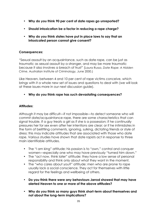- **Why do you think 90 per cent of date rapes go unreported?**
- **Should intoxication be a factor in reducing a rape charge?**
- **Why do you think states have put in place laws to say that an intoxicated person cannot give consent?**

#### **Consequences:**

"Sexual assault by an acquaintance, such as date rape, can be just as traumatic as sexual assault by a stranger, and may be more traumatic because it also involves a breach of trust" (Laura Russo, *Date Rape: A Hidden Crime*, Australian Institute of Criminology, June 2000.)

Like Heaven, between 4 and 10 per cent of rape victims conceive, which brings with it a whole new set of issues and questions to deal with (we will look at these issues more in our next discussion guide).

• **Why do you think rape has such devastating consequences?**

#### **Attitudes:**

Although it may be difficult—if not impossible—to detect someone who will commit date/acquaintance rape, there are some characteristics that can signal trouble. If a guy treats a girl as if she is a possession; if he continually pressures her for sex even after her intentions are clear; or if he intimidates in the form of belittling comments, ignoring, sulking, dictating friends or style of dress: this may indicate attitudes that are associated with those who date rape. Various studies have shown that date rapists act in response to three main identifiable attitudes.

- The "I am king" attitude: his passion is to "own," control and conquer women—especially one who may have previously "turned him down."
- The "act now, think later" attitude: they have a low sense of personal responsibility and think only about what they want in the moment.
- The "who cares about you?" attitude: men who are prone to rape usually lack a social conscience. They act for themselves with little regard for the feelings and wellbeing of others.
- **Do you think there were any behaviours Jarrod showed that may have alerted Heaven to one or more of the above attitudes?**
- **Why do you think so many guys think short-term about themselves and not about the long-term implications?**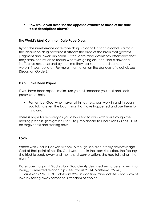• **How would you describe the opposite attitudes to those of the date rapist descriptions above?**

#### **The World's Most Common Date Rape Drug:**

By far, the number-one date rape drug is alcohol! In fact, alcohol is almost the ideal rape drug because it attacks the area of the brain that governs judgment and lowers inhibition. Often, date rape victims say afterwards that they drank too much to realise what was going on, it caused a slow and ineffective response and by the time they realised the predicament they were in it was too late. (For more information on the dangers of alcohol, see Discussion Guide 6.)

#### **If You Have Been Raped**

If you have been raped, make sure you tell someone you trust and seek professional help.

• Remember God, who makes all things new, can work in and through you taking even the bad things that have happened and use them for His glory.

There is hope for recovery as you allow God to walk with you through the healing process. (It might be useful to jump ahead to Discussion Guides 11-13 on forgiveness and starting new).

## **Look:**

Where was God in Heaven's rape? Although she didn't really acknowledge God at that point of her life, God was there in the tears she cried, the feelings she tried to scrub away and the helpful conversations she had following "that night."

Date rape is against God's plan. God clearly designed sex to be enjoyed in a loving, committed relationship (see Exodus 20:14, Matthew 5:27-28, 1 Corinthians 6:9-10, 18, Colossians 3:5). In addition, rape violates God's law of love by taking away someone's freedom of choice.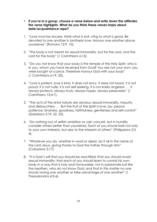- **If you're in a group, choose a verse below and write down the attitudes the verse highlights. What do you think these verses imply about date/acquaintance rape?**
- 1. "Love must be sincere. Hate what is evil; cling to what is good. Be devoted to one another in brotherly love. Honour one another above yourselves" (Romans 12:9, 10).
- 2. "The body is not meant for sexual immorality, but for the Lord, and the Lord for the body" (1 Corinthians 6:13).
- 3. "Do you not know that your body is the temple of the Holy Spirit, who is in you, whom you have received from God? You are not your own; you were bought at a price. Therefore honour God with your body" (1 Corinthians 6:19, 20).
- 4. "Love is patient, love is kind. It does not envy, it does not boast, it is not proud. It is not rude, it is not self-seeking, it is not easily angered . . . It always protects, always trusts, always hopes, always perseveres" (1 Corinthians 13:4-7).
- 5. "The acts of the sinful nature are obvious: sexual immorality, impurity and debauchery . . . But the fruit of the Spirit is love, joy, peace, patience, kindness, goodness, faithfulness, gentleness and self-control" (Galatians 5:19, 22, 23).
- 6. "Do nothing out of selfish ambition or vain conceit, but in humility consider others better than yourselves. Each of you should look not only to your own interests, but also to the interests of others" (Philippians 2:3, 4).
- 7. "Whatever you do, whether in word or deed, do it all in the name of the Lord Jesus, giving thanks to God the Father through Him" (Colossians 3:17).
- 8. "It is God's will that you should be sanctified: that you should avoid sexual immorality; that each of you should learn to control his own body in a way that is holy and honourable, not in passionate lust like the heathen, who do not know God; and that in this matter no one should wrong one another or take advantage of one another" (1 Thessalonians 4:3-6).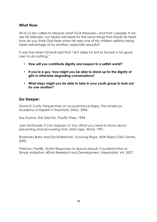## **What Now:**

All of us are called to treasure what God treasures—and that's people. If we are His followers, our hearts will break for the same things that break His heart. How do you think God feels when He sees one of His children selfishly being taken advantage of by another, especially sexually?

It was true when Ghandi said that "all it takes for evil to triumph is for good men to do nothing."

- **How will you contribute dignity and respect in a selfish world?**
- **If you're a guy, how might you be able to stand up for the dignity of girls in otherwise degrading conversations?**
- **What steps might you be able to take in your youth group to look out for one another?**

## **Go Deeper:**

David G Curtis, *Perspectives on Acquaintance Rape,* The American Academy of Experts in Traumatic Stress, 2006.

Kay Kuzma, *She Said No.* Pacific Press, 1994.

Josh McDowell, *It Can Happen to You: What you need to know about preventing and recovering from date rape*, Word, 1991.

Rosemary Barry and David Brennan, *Surviving Rape*, NSW Rape Crisis Centre, 2002.

Patricia L Fanflik, *Victim Responses to Sexual Assault: Counterintuitive or Simply Adaptive*, NDAA Research and Development, Alexandria: VA, 2007.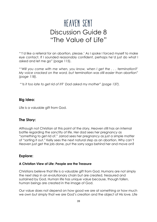## Heaven Sent Discussion Guide 8 "The Value of Life"

"'I'd like a referral for an abortion, please.' As I spoke I forced myself to make eye contact. If I sounded reasonably confident, perhaps he'd just do what I asked and let me go" (page 115).

*"'Will you come with me when, you know, when I get the . . . termination?' My voice cracked on the word, but* termination *was still easier than* abortion*" (page 118).*

*"'Is it too late to get rid of it?' Dad asked my mother" (page 137).*

## **Big Idea:**

Life is a valuable gift from God.

## **The Story:**

Although not Christian at this point of the story, Heaven still has an internal battle regarding the sanctity of life. Her dad sees her pregnancy as "something to get rid of." Jarrod sees her pregnancy as just a simple matter of "sorting it out." Kelly sees the next natural step as an abortion. Why can't Heaven just get the job done, put the sorry saga behind her and move on?

## **Explore:**

#### **A Christian View of Life: People are the Treasure**

Christians believe that life is a valuable gift from God. Humans are not simply the next step in an evolutionary chain but are created, treasured and sustained by God. Human life has unique value because, though fallen, human beings are created in the image of God.

Our value does not depend on how good we are at something or how much we own but simply that we are God's creation and the object of His love. Life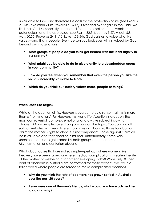is valuable to God and therefore He calls for the protection of life (see Exodus 20:13; Revelation 21:8; Proverbs 6:16,17). Over and over again in the Bible, we find that God is especially concerned for the protection of the weak, the defenceless, and the oppressed (see Psalm 82:3,4; James 1:27; Micah 6:8; Acts 20:35; Proverbs 24:11,12; Luke 1:52-54). God calls us to value what He values—and that's people. Every person you lock eyes with is valued by God beyond our imaginations.

- **What groups of people do you think get treated with the least dignity in our society?**
- **What might you be able to do to give dignity to a downtrodden group in your community?**
- **How do you feel when you remember that even the person you like the least is incredibly valuable to God?**
- **Which do you think our society values more, people or things?**

#### **When Does Life Begin?**

While at the abortion clinic, Heaven is overcome by a sense that this is more than a "termination." For Heaven, this was a life. Abortion is arguably the most controversial, complex, emotional and divisive subject involving children. Many people have strong opinions on the topic. You can find all sorts of websites with very different opinions on abortion. Those for abortion claim the mother's right to choose is most important. Those against claim all life is valuable and that abortion is murder. Unfortunately, some very unchristian attitudes get traded by both groups at one another. Misinformation and confusion abound.

What about cases that are not so simple—perhaps where women, like Heaven, have been raped or where medical complications threaten the life of the mother or wellbeing of another developing baby? While only .01 per cent of abortions in Australia are performed for these reasons, we live in a fallen world where people are forced to make complicated decisions.

- **Why do you think the rate of abortions has grown so fast in Australia over the past 20 years?**
- **If you were one of Heaven's friends, what would you have advised her to do and why?**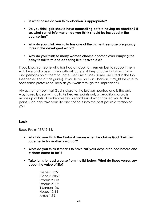- **In what cases do you think abortion is appropriate?**
- **Do you think girls should have counselling before having an abortion? If so, what sort of information do you think should be included in the counselling?**
- **Why do you think Australia has one of the highest teenage pregnancy rates in the developed world?**
- **Why do you think so many women choose abortion over carrying the baby to full term and adopting like Heaven did?**

If you know someone who has had an abortion, remember to support them with love and prayer. Listen without judging if they choose to talk with you and perhaps point them to some useful resources (some are listed in the Go Deeper section of this guide). If you have had an abortion, it might be wise to seek some professional help as you work through the implications.

Always remember that God is close to the broken hearted and is the only way to really deal with guilt. As Heaven points out, a beautiful mosaic is made up of lots of broken pieces. Regardless of what has led you to this point, God can take your life and shape it into the best possible version of you.

## **Look:**

Read Psalm 139:13-16:

- **What do you think the Psalmist means when he claims God "knit him together in his mother's womb"?**
- **What do you think it means to have "all your days ordained before one of them came to be"?**
- **Take turns to read a verse from the list below. What do these verses say about the value of life?**

Genesis 1:27 Genesis 30:23 Exodus 20:13 Exodus 21:22 1 Samuel 2:6 Hosea 13:16 Amos 1:13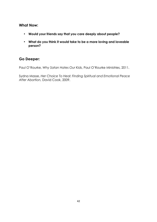## **What Now:**

- **Would your friends say that you care deeply about people?**
- **What do you think it would take to be a more loving and loveable person?**

## **Go Deeper:**

Paul O'Rourke, *Why Satan Hates Our Kids*, Paul O'Rourke Ministries, 2011.

Sydna Masse, *Her Choice To Heal: Finding Spiritual and Emotional Peace After Abortion,* David Cook, 2009.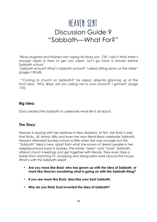## Heaven Sent Discussion Guide 9 "Sabbath—What For?"

*"Ricky laughed and finished wet wiping his sticky son. 'OK, I don't think there's enough wipes in here to get you clean. Let's go have a shower before Sabbath school.'*

*'Sabbath school? What's Sabbath school?' I asked sitting down at the table" (pages 159-60).*

*"'Coming to church on Sabbath?' he asked, absently glancing up at the front door. 'Why, Brad, are you asking me to your church?' I grinned" (page 175).*

## **Big Idea:**

God created the Sabbath to celebrate what life is all about.

## **The Story:**

Heaven is staying with her relatives in New Zealand. At first, she finds it odd that Ricky, Jill, Aroha, Billy and even her new friend Brad celebrate Sabbath. Heaven attended Sunday school a little when she was younger but this "Sabbath" idea is new, apart from what she knows of Jewish people in her neighbourhood back in Sydney. The family "open" and "close" Sabbath, attend church meetings and get together with friends. They even take a break from watching TV, shopping and doing extra work around the house. What's with this Sabbath idea?

- **Are you more like Brad, who has grown up with the idea of Sabbath, or more like Heaven wondering what is going on with this Sabbath thing?**
- **If you are more like Brad, describe your best Sabbath.**
- **Why do you think God invented the idea of Sabbath?**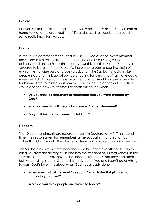#### **Explore:**

Heaven's relatives take a break one day a week from work. This day is free of homework and the usual routine of life and is used to recalibrate around some really important values.

#### **Creation:**

In the fourth commandment, Exodus 20:8-11, God asks that we remember the Sabbath is a celebration of creation. He also asks us to give even the animals a rest on the Sabbath. In today's world, creation is often seen as a resource to be used for our ends. As the planet groans under the strain of environmental disregard and over-production, the Sabbath should make people stop and think about our job of caring for creation. What if one day a week we didn't take from the environment? What would happen if people took some time to think about how we cared about creation? Maybe that would change how we treated the earth during the week.

- **Do you think it's important to remember that you were created by God?**
- **What do you think it means to "steward" our environment?**
- **Do you think creation needs a Sabbath?**

#### **Freedom:**

The 10 commandments are recorded again in Deuteronomy 5. This second time, the reason given for remembering the Sabbath is not creation but rather that God brought the children of Israel out of slavery and into freedom.

The Sabbath is a weekly reminder that God has done everything He can to bring you from the slavery of sin and into the freedom of His forgiveness. In the story of Adam and Eve, they did not need to rest from what they had done but were resting in what God had already done. You and I can't do anything to earn God's love—it's about what God has already done.

- **When you think of the word "freedom," what is the first picture that comes to your mind?**
- **What do you think people are slaves to today?**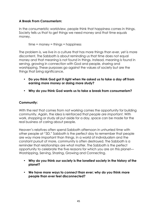#### **A Break From Consumerism:**

In the consumeristic worldview, people think that happiness comes in things. Society tells us that to get things we need money and that time equals money.

time = money = things = happiness

The problem is, we live in a culture that has more things than ever, yet is more discontent. The Sabbath is about reminding us that time does not equal money and that meaning is not found in things. Instead, meaning is found in serving, growing in connection with God and people, sharing and worshipping. These purposes go against the values of society but are the things that bring significance.

- **Do you think God got it right when He asked us to take a day off from earning more money or doing more study?**
- **Why do you think God wants us to take a break from consumerism?**

## **Community:**

With the rest that comes from not working comes the opportunity for building community. Again, the idea is reinforced that *people are important*. With work, shopping or study all put aside for a day, space can be made for the real business of caring about people.

Heaven's relatives often spend Sabbath afternoon in unhurried time with other people at "3D." Sabbath is the perfect day to remember that people are way more important than things. In a world of individualism and the constant pursuit of more, community is often destroyed. The Sabbath is a reminder that relationships are what matter. The Sabbath is the perfect opportunity to celebrate the five reasons for which you are on this planet— Worshipping, Serving, Sharing, Growing and Connecting.

- **Why do you think our society is the loneliest society in the history of the planet?**
- **We have more ways to connect than ever; why do you think more people than ever feel disconnected?**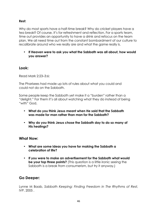#### **Rest:**

Why do most sports have a half-time break? Why do cricket players have a tea break? Of course, it's for refreshment and reflection. For a sports team, time out provides an opportunity to have a drink and refocus on the team plan. We all need time out from the constant bombardment of our culture to recalibrate around who we really are and what the game really is.

• **If Heaven were to ask you what the Sabbath was all about, how would you answer?**

## **Look:**

Read Mark 2:23–3:6:

The Pharisees had made up lots of rules about what you could and could not do on the Sabbath.

Some people keep the Sabbath yet make it a "burden" rather than a "delight." For them it's all about watching what they do instead of being "with" God.

- **What do you think Jesus meant when He said that the Sabbath was made for man rather than man for the Sabbath?**
- **Why do you think Jesus chose the Sabbath day to do so many of His healings?**

#### **What Now:**

- **What are some ideas you have for making the Sabbath a celebration of life?**
- **If you were to make an advertisement for the Sabbath what would be your top three points?** (This question is a little ironic seeing the Sabbath is a break from consumerism, but try it anyway.)

## **Go Deeper:**

Lynne M Baab, *Sabbath Keeping: Finding Freedom in The Rhythms of Rest,* IVP, 2005 .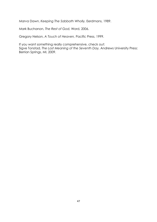Marva Dawn, *Keeping The Sabbath Wholly,* Eerdmans, 1989.

Mark Buchanon, *The Rest of God,* Word, 2006.

Gregory Nelson, *A Touch of Heaven,* Pacific Press, 1999.

If you want something really comprehensive, check out: Sigve Tonstad, *The Lost Meaning of the Seventh Day,* Andrews University Press: Berrian Springs, MI, 2009.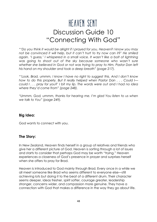## Heaven Sent Discussion Guide 10 "Connecting With God"

*"'Do you think it would be alright if I prayed for you, Heaven? I know you may not be convinced it will help, but it can't hurt to try now can it?' He smiled again. 'I guess,' I whispered in a small voice. It wasn't like a bolt of lightning was going to shoot out of the sky because someone who wasn't sure*  whether she believed in God or not was trying to pray to Him. Pastor Dan left *his hand on my shoulder and took a deep breath" (page 217).*

*"'Look, Brad, ummm, I know I have no right to suggest this. And I don't know how to do this properly. But it really helped when Pastor Dan . . . Could I could I . . . pray for you?' I bit my lip. The words were out and I had no idea where they'd come from" (page 248).*

*"Ummm, God, ummm, thanks for hearing me. I'm glad You listen to us when we talk to You" (page 249).*

## **Big Idea:**

God wants to connect with you.

## **The Story:**

In New Zealand, Heaven finds herself in a group of relatives and friends who give her a different picture of God. Heaven is sorting through a lot of issues and starts to consider that perhaps God may be worth "trying." Heaven experiences a closeness of God's presence in prayer and surprises herself when she offers to pray for Brad.

Heaven is introduced to God mainly through Brad. Every once in a while we all meet someone like Brad who seems different to everyone else—still achieving lots but doing it to the beat of a different drum. Their character seems deeper, ideas fresher, spirit softer, courage greater, leadership stronger, concerns wider, and compassion more genuine. They have a connection with God that makes a difference in the way they go about life.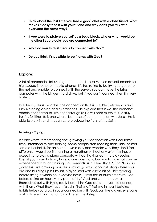- **Think about the last time you had a good chat with a close friend. What makes it easy to talk with your friend and why don't you talk with everyone the same way?**
- **If you were to picture yourself as a Lego block, who or what would be the other Lego blocks you are connected to?**
- **What do you think it means to connect with God?**
- **Do you think it's possible to be friends with God?**

#### **Explore:**

A lot of companies tell us to get connected. Usually, it's in advertisements for high speed internet or mobile phones. It's frustrating to be trying to get onto the net and unable to connect with the server. You can have the latest computer with the biggest hard drive, but if you can't connect then it is very limited.

In John 15, Jesus describes the connection that is possible between us and Him like being a vine and its branches. He explains that if we, the branches, remain connected to Him, then through us He will bear much fruit. A truly fruitful, fulfilling life is one where, because of our connection with Jesus, He is able to work in and through us to produce the fruits of the Spirit.

#### **Training v Trying:**

It's also worth remembering that growing your connection with God takes time, intentionality and training. Some people start reading their Bible, or start some other habit, for an hour or two a day and wonder why they don't feel different. It would be like running a marathon without any prior training, or expecting to play a piano concerto without having learnt to play scales. Even if you try really hard, trying alone does not allow you to do what can be experienced through training. Paul reminds us in 1 Timothy 4:7, 8 to "train" in godliness. Like growing muscles, spiritual growth is about starting where you are and building up bit-by-bit. Maybe start with a little bit of Bible reading before trying a whole hour. Maybe have 10 minutes of quite time with God before doing an hour. Many people "try" God and when they wear themselves out with trying really hard, think God does not want to connect with them. What they have missed is "training." Training in heart-building habits helps you grow in your connection with God. Just like a gym, everyone is at a different point and has a different next step.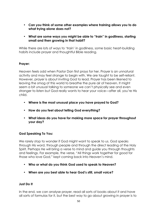- **Can you think of some other examples where training allows you to do what trying alone does not?**
- **What are some ways you might be able to "train" in godliness, starting small and then growing in that habit?**

While there are lots of ways to 'train' in godliness, some basic heart-building habits include prayer and thoughtful Bible reading.

#### **Prayer:**

Heaven feels odd when Pastor Dan first prays for her. Prayer is an unnatural activity and may feel strange to begin with. We are taught to be self-reliant. However, prayer is about inviting God to lead. Prayer has been likened to leaving the smog of this world to breathe the pure air of heaven. It might seem a bit unusual talking to someone we can't physically see and even stranger to listen but God really wants to hear your voice—after all, you're His child.

- **Where is the most unusual place you have prayed to God?**
- **How do you feel about telling God everything?**
- **What ideas do you have for making more space for prayer throughout your day?**

## **God Speaking To You:**

We rarely stop to wonder if God might want to speak to us. God speaks through His word, through people and through the direct leading of the Holy Spirit. Perhaps He will bring a verse to mind and guide you through thoughts and feelings. For example, the verse, "All things work together for good for those who love God," kept coming back into Heaven's mind.

- **Who or what do you think God used to speak to Heaven?**
- **When are you best able to hear God's still, small voice?**

#### **Just Do It**

In the end, we can analyse prayer, read all sorts of books about it and have all sorts of formulas for it, but the best way to go about growing in prayer is to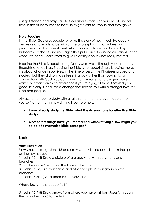just get started and pray. Talk to God about what is on your heart and take time in the quiet to listen to how He might want to work in and through you.

#### **Bible Reading**

In the Bible, God uses people to tell us the story of how much He deeply desires us and wants to be with us. He also explains what values and practices allow life to work best. All day our minds are bombarded by billboards, TV shows and messages that pull us in a thousand directions. In this world, we need God's word to give us clarity about what really matters.

Reading the Bible is about letting God's word wash through your attitudes, thoughts and feelings. Studying the Bible is not about simply knowing more; it's about change in our lives. In the time of Jesus, the Pharisees prayed and studied, but they did so in a self-seeking way rather than looking for a connection with God. You can know that hydrogen and oxygen make water, but that makes no difference if you're dying of thirst. Knowledge is good, but only if it causes a change that leaves you with a stronger love for God and people.

Always remember to study with a rake rather than a shovel—apply it to yourself rather than simply dishing it out to others.

- **If you already study the Bible, what tips do you have for effective Bible study?**
- **What sort of things have you memorised without trying? How might you be able to memorise Bible passages?**

## **Look:**

#### **Vine Illustration**

Slowly read through John 15 and draw what is being described in the space on the next page:

1. (John 15:1-4) Draw a picture of a grape vine with roots, trunk and branches.

2. Put the name "Jesus" on the trunk of the vine.

3. (John 15:5a) Put your name and other people in your group on the branches.

4. (John 15:5b-6) Add some fruit to your vine.

Whose job is it to produce fruit?

5. (John 15:7-8) Draw arrows from where you have written "Jesus", through the branches (you) to the fruit.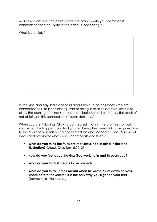6 – Draw a circle at the point where the branch with your name on it connects to the vine. Write in the circle "Connecting."

What is your job? \_\_\_

In the vine analogy Jesus also talks about how He prunes those who are connected to Him (see verse 2). Part of being in relationship with Jesus is to allow the pruning of things such as pride, jealousy and bitterness. The result of not abiding in this connection is "outer darkness."

When you are "abiding"/staying connected in Christ, He promises to work in you. When this happens you find yourself being the person God designed you to be. You find yourself being concerned for what concerns God. Your heart beats and breaks for what God's heart beats and breaks.

- **What do you think the fruits are that Jesus had in mind in the vine illustration?** Check Galatians 5:22, 23.
- **How do you feel about having God working in and through you?**
- **What do you think it means to be pruned?**
- **What do you think James meant when he wrote: "Get down on your knees before the Master, it is the only way you'll get on your feet" (James 4:10,** The Message).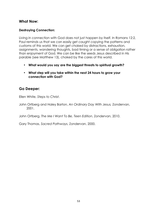## **What Now:**

#### **Destroying Connection:**

Living in connection with God does not just happen by itself. In Romans 12:2, Paul reminds us that we can easily get caught copying the patterns and customs of this world. We can get choked by distractions, exhaustion, assignments, wandering thoughts, bad timing or a sense of obligation rather than enjoyment of God. We can be like the seeds Jesus described in His parable (see Matthew 13), choked by the cares of this world.

- **What would you say are the biggest threats to spiritual growth?**
- **What step will you take within the next 24 hours to grow your connection with God?**

## **Go Deeper:**

Ellen White, *Steps to Christ*.

John Ortberg and Haley Barton, *An Ordinary Day With Jesus,* Zondervan, 2001.

John Ortberg, *The Me I Want To Be, Teen Edition*, Zondervan, 2010.

Gary Thomas, *Sacred Pathways*, Zondervan, 2000.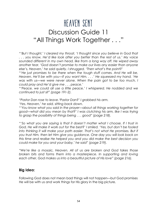## Heaven Sent Discussion Guide 11 "All Things Work Together . . ."

*"'But I thought,' I cleared my throat, 'I thought since you believe in God that . . . you know, He'd like look after you better than the rest of us.' My voice sounded different in my own head, like from a long way off. He wiped away another tear. 'God doesn't promise to make our lives any easier than anyone else's, Heaven,' he said quietly. I shrugged. 'Then what's the point?'*

*"'He just promises to be there when the tough stuff comes. And He will be, Heaven. He'll be with you—if you want Him. . . .' He squeezed my hand. 'He was with us—we were never alone. When the pain got to be too much, I could pray and He'd give me . . . peace.'*

*"'Peace, we could all use a little peace,' I whispered. He nodded and we continued to just sit" (page 191-2).*

*"Pastor Dan rose to leave.'Pastor Dan?' I grabbed his arm.*

*'Yes, Heaven,' he said, sitting back down.*

*"'You know what you said in the prayer—about all things working together for good—what did you mean by that?' I was clutching his arm, like I was trying to grasp the possibility of things being . . . good" (page 218).*

*"'So what you are saying is that it doesn't matter what I choose. If I trust in God, He will make it work out for the best?' I smiled. 'Yes, but don't be fooled*  into thinking it will make your path easier. That's not what He promises. But if *you trust Him, then let Him give you guidance. One day you will look back on this time and realise He helped you and you did make the best decision you could make for you and your baby,' he said" (page 219).*

*"We're like a mosaic, Heaven. All of us are broken and God takes those broken bits and forms them into a masterpiece. In supporting and loving each other, God makes us into a beautiful picture of His love" (page 216).*

## **Big Idea:**

Following God does not mean bad things will not happen—but God promises He will be with us and work things for His glory in the big picture.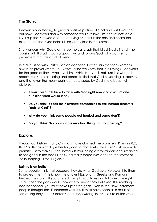## **The Story:**

Heaven is only starting to grow a positive picture of God and is still working out how God works and why someone would follow Him. She reflects on a DVD clip that showed a father carrying his child in the rain and heard the explanation that God holds His children close in the storms.

She wonders why God didn't stop the car crash that killed Brad's friend—her cousin, Will. If Brad is such a good guy and follows God, why was he not protected from the drunk driver?

In a discussion with Pastor Dan on adoption, Pastor Dan mentions Romans 8:28 in his prayer where Paul writes, "And we know that in all things God works for the good of those who love him." While Heaven is not sure just what this means, she starts exploring and comes to find that God is weaving a tapestry and that even the messy parts can be shaped by God into a beautiful picture.

- **If you could talk face to face with God right now and ask Him one question what would it be?**
- **Do you think it's fair for insurance companies to call natural disasters "acts of God"?**
- **Why do you think some people get healed and some don't?**
- **Do you think God can stop every bad thing from happening?**

## **Explore:**

Throughout history, many Christians have claimed the promise in Romans 8:28 that "all things work together for good for those who love Him." Is it an empty promise just to make us feel better? Is Paul being a "Pollyanna" and just trying to see good in the bad? Does God really shape lives and use the storms of life in shaping us for His glory?

#### **Rain falls on both:**

Some people think that because they do what God asks, He owes it to them to protect them. This is how the ancient Egyptians, Greeks and Romans treated their gods. If you offered the right sacrifices and followed the right rituals, then the gods would look after you—so they believed. If something bad happened, you must have upset the gods. Even in the New Testament, people thought that if someone was sick it must have been as a result of something they or their parents had done wrong. In this picture of the world,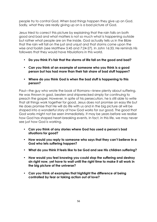people try to control God. When bad things happen they give up on God. Sadly, what they are really giving up on is a bad picture of God.

Jesus tried to correct this picture by explaining that the rain falls on both good and bad and what matters is not so much what is happening outside but rather what people are on the inside. God actually tells us in the Bible that the rain will fall on the just and unjust and that storms come upon the wise and foolish (see Matthew 5:45 and 7:24-27). In John 16:33, He reminds His followers that they would have tribulations in this world.

- **Do you think it's fair that the storms of life fall on the good and bad?**
- **Can you think of an example of someone who you think is a good person but has had more than their fair share of bad stuff happen?**
- **Where do you think God is when the bad stuff is happening to this person?**

Paul—the guy who wrote the book of Romans—knew plenty about suffering. He was thrown in gaol, beaten and shipwrecked simply for continuing to preach the gospel. However, in spite of his persecution, he is still able to write that all things work together for good. Jesus does not promise an easy life but He does promise that He will do life with us and in the big picture all will be shaped into a wonderful story of how God works for our good. The good that God works might not be seen immediately. It may be years before we realise how God has shaped heart-breaking events. In fact, in this life, we may never see just how God is working.

- **Can you think of any stories where God has used a person's bad situations for good?**
- **How would you reply to someone who says that they can't believe in a God who lets suffering happen?**
- **What do you think it feels like to be God and see His children suffering?**
- **How would you feel knowing you could stop the suffering and destroy sin right now, yet have to wait until the right time to make it all work in the big picture of the universe?**
- **Can you think of examples that highlight the difference of being controlled by fear or taking action out of love?**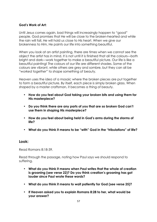#### **God's Work of Art:**

Until Jesus comes again, bad things will increasingly happen to "good" people. God promises that He will be close to the broken-hearted and while the rain will fall, He will hold us close to His heart. When we give our brokenness to Him, He paints our life into something beautiful.

When you look at an artist painting, there are times when we cannot see the object the artist has in mind. It is not until it is finished that all the colours—both bright and dark—work together to make a beautiful picture. Our life is like a beautiful painting! The colours of our life are different shades. Some of the colours are vibrant, while others are grey and sombre, but they can all be "*worked together*" to shape something of beauty.

Heaven uses the idea of a mosaic where the broken pieces are put together to form a beautiful picture. By itself, each piece is simply broken glass. When shaped by a master craftsman, it becomes a thing of beauty.

- **How do you feel about God taking your broken bits and using them for His masterpiece?**
- **Do you think there are any parts of you that are so broken God can't use them in shaping His masterpiece?**
- **How do you feel about being held in God's arms during the storms of life?**
- **What do you think it means to be "with" God in the "tribulations" of life?**

## **Look:**

Read Romans 8:18-39.

Read through the passage, noting how Paul says we should respond to suffering.

- **What do you think it means when Paul writes that the whole of creation is groaning (see verse 22)? Do you think creation's groaning has got louder since Paul wrote these words?**
- **What do you think it means to wait patiently for God (see verse 25)?**
- **If Heaven asked you to explain Romans 8:28 to her, what would be your answer?**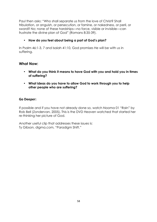Paul then asks: "Who shall separate us from the love of Christ? Shall tribulation, or anguish, or persecution, or famine, or nakedness, or peril, or sword? No; none of these hardships—no force, visible or invisible—can frustrate the divine plan of God" (Romans 8:35-39).

#### • **How do you feel about being a part of God's plan?**

In Psalm 46:1-3, 7 and Isaiah 41:10, God promises He will be with us in suffering.

## **What Now:**

- **What do you think it means to have God with you and hold you in times of suffering?**
- **What ideas do you have to allow God to work through you to help other people who are suffering?**

#### **Go#Deeper:**

If possible and if you have not already done so, watch Nooma 01 "Rain" by Rob Bell (Zondervan, 2005)**.** This is the DVD Heaven watched that started her re-thinking her picture of God.

Another useful clip that addresses these issues is: Ty Gibson, digma.com, "Paradigm Shift."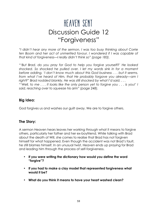## Heaven Sent Discussion Guide 12 "Forgiveness"

*"I didn't hear any more of the sermon, I was too busy thinking about Corrie ten Boom and her act of unmerited favour. I wondered if I was capable of that kind of forgiveness—I really didn't think so" (page 183).*

*"'But Brad, do you pray for God to help you forgive yourself?' He looked shocked. So shocked he pulled over. I let my words sink in for a moment before adding. 'I don't know much about this God business . . . but it seems, from what I've heard of Him, that He probably forgave you already—am I right?" Brad nodded blankly. He was still shocked by what I'd said. . . . "'Well, to me . . . it looks like the only person yet to forgive you . . . is you!' I said, reaching over to squeeze his arm" (page 248).*

## **Big Idea:**

God forgives us and washes our guilt away. We are to forgive others.

## **The Story:**

A sermon Heaven hears leaves her working through what it means to forgive others, particularly her father and her ex-boyfriend. While talking with Brad about the death of Will, she comes to realise that Brad has not forgiven himself for what happened. Even though the accident was not Brad's fault, he still blames himself. In an unusual twist, Heaven ends up praying for Brad and leading him through the process of self-forgiveness.

- **If you were writing the dictionary how would you define the word "forgive"?**
- **If you had to make a clay model that represented forgiveness what would it be?**
- **What do you think it means to have your heart washed clean?**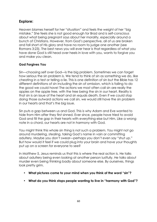## **Explore:**

Heaven blames herself for her "situation" and feels the weight of her "big mistake." She feels she is not good enough for Brad and is self-conscious about what being pregnant says about her morality, especially around a bunch of Christians. However, from God's perspective, all of us are broken and fall short of His glory and have no room to judge one another (see Romans 3:23). The best news you will ever hear is that regardless of what you have done God is still head over heels in love with you, wants to forgive you and make you clean.

#### **God Forgives You**

Sin—choosing self over God—is the big problem. Sometimes we can forget how serious the sin problem is. We tend to think of sin as something we do, like cheating in a test or telling a lie. This is one definition of sin but the Bible has 12 different definitions of sin including the sin of omission, which is failing to do the good we could have! The actions we most often call sin are really the apples on the apple tree, with the tree being the sin in our heart. Reality is that sin is an issue of the heart and sin equals death. Even if we could stop doing those outward actions we call sin, we would still have the sin problem in our hearts and that's the big issue.

Sin puts a gap between us and God. This is why Adam and Eve wanted to hide from Him after they first sinned. Ever since, people have tried to avoid God and fill the gap in their hearts with everything else but Him. Like a wrong note in a chord, our hearts are not in harmony with God.

You might think this whole sin thing is not such a problem. You might not go around murdering, stealing, taking God's name in vain or committing adultery. Maybe you don't swear—perhaps you don't even say "shut up." But how would it feel if we could plug into your brain and have your thoughts put up on a screen for everyone to see?

In Matthew 5, Jesus reminds us that this is where the real action is. He talks about adultery being even looking at another person lustfully. He talks about murder even being thinking badly about someone else. By ourselves, things look pretty grim.

- **What pictures come to your mind when you think of the word "sin"?**
- **What do you think stops people wanting to live in "harmony with God"?**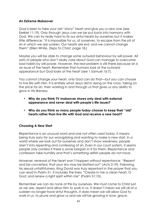#### **An Extreme Makeover**

God is keen to take your old "stony" heart and give you a new one (see Ezekiel 11:19). Only through Jesus can we be put back into harmony with God. We can try really hard to fix our sinful hearts by ourselves but it makes little difference: "It is impossible for us, of ourselves, to escape from the pit of sin in which we are sunken. Our hearts are evil, and we cannot change them" (Ellen White, *Steps To Christ*, page 18.)

Maybe you will be able to change some outward behaviour by will power. All sorts of people who don't really care about God can manage to overcome bad habits by will power. However, the real problem is still there because sin is an issue of the heart. Remember that humans look at the outward appearance but God looks at the heart (see 1 Samuel 16:7).

You cannot change your heart, only God can do that—but you can choose to live life with Him. It is entirely what Jesus did in dying on the cross, taking on the price for sin, then working in and through us that gives us any ability to grow in His likeness.

- **Why do you think TV makeover shows only deal with external appearance and never deal with people's life issues?**
- **Why do you think so many people today choose to keep their "old" hearts rather than live life with God and receive a new heart?**

#### **Choosing A New Start**

Repentance is an unusual word and one not often used today. It means being truly sorry for our wrongdoing and wanting to make a new start. In a world where we look out for ourselves and don't show weakness, people aren't into repenting and confessing of sin. Even in our court system, it seems people only confess if there is some bargain in it for them. Repentance and confession take humility and that's something selfish people do not have.

However, renewal of the heart won't happen without repentance. "Repent and be converted, that your sins may be blotted out" (Acts 3:19). Following his sexual unfaithfulness, King David was truly repentant in the prayer that you can read in Psalm 51. It includes the lines: "Create in me a clean heart, O God; and renew a right spirit within me" (Psalm 51:10).

Remember we can do none of this by ourselves. We must come to Christ just as we are, repent and allow Him to work in us. It doesn't mean we will all of a sudden no longer have sinful thoughts. It does mean we will allow God to work in us, to prune and grow us and we will be growing in love, grace,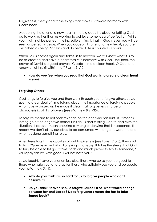forgiveness, mercy and those things that move us toward harmony with God's heart.

Accepting the offer of a new heart is the big deal. It's about us letting God go to work, rather than us working to achieve some idea of perfection. While you might not be perfect, the incredible thing is that in God's eyes you will be seen as perfect in Jesus. When you accept His offer of a new heart, you are described as being "in" Him and His perfect life is counted as yours.

When Jesus comes again and takes us to heaven, we will know what it is to be re-created and have a heart totally in harmony with God. Until then, the prayer of David is a good prayer: "Create in me a clean heart, O God; and renew a right spirit within me." Psalm 51:10

• **How do you feel when you read that God wants to create a clean heart in you?**

#### **Forgiving Others:**

God longs to forgive you and then work through you to forgive others. Jesus spent a great deal of time talking about the importance of forgiving people who have wronged us. He made it clear that forgiveness is to be a characteristic of His followers (see Matthew 8:21-35).

To forgive means to not seek revenge on the one who has hurt us. It means letting go of the anger we harbour inside us and trusting God to deal with the situation. It doesn't mean excusing a wrong or denying that it happened. It means we don't allow ourselves to be consumed with anger toward the one who has done something to us.

After Jesus taught the apostles about forgiveness (see Luke 17:3-5), they said to him, "Give us more faith!" Forgiving is not easy. It takes the strength of God to truly be able to let go. It takes faith and much prayer to say to someone, "I will repay this evil with good. I will not hate you."

Jesus taught, "Love your enemies, bless those who curse you, do good to those who hate you, and pray for those who spitefully use you and persecute you" (Matthew 5:44).

- **Why do you think it is so hard for us to forgive people who don't deserve it?**
- **Do you think Heaven should forgive Jarrod? If so, what would change between her and Jarrod? Does forgiveness mean she has to take Jarrod back?**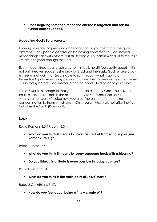#### • **Does forgiving someone mean the offense is forgotten and has no further consequences?**

#### **Accepting God's Forgiveness:**

Knowing you are forgiven and accepting that in your heart can be quite different. Many people go through life having confessed to God, having made things right with others, but still feeling guilty. Satan wants us to feel as if we are not good enough for God.

Even though Brad's car crash was not his fault, he still feels guilty about it. It's not until Heaven suggests she pray for Brad and then asks God to take away his feelings of guilt that Brad is able to sort through what is going on. Unresolved guilt drives many people to dislike themselves and see themselves as unworthy before God. Remorse can be good. Holding on to guilt is not.

The answer is to recognise that you are made clean by God. You have a fresh, clean heart. Look in the mirror and try to see what God sees rather than what your "unworthy" voice says you are: "There is therefore now no condemnation to them which are in Christ Jesus, who walk not after the flesh, but after the Spirit" (Romans 8:1).

## **Look:**

Read Romans 8:5-17**,** John 3:3:

• **What do you think it means to have the spirit of God living in you (see Romans 8:9-11)?**

Read 1 Peter 3:9:

- **What do you think it means to repay someone back with a blessing?**
- **Do you think this attitude is even possible in today's culture?**

Read Luke 7:36-50:

• **What do you think is the main point of Jesus' story?**

Read 2 Corinthians 5:17:

• **How do you feel about being a "new creature"?**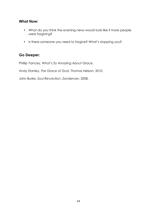## **What Now:**

- What do you think the evening news would look like if more people were forgiving?
- Is there someone you need to forgive? What's stopping you?

## **Go Deeper:**

Phillip Yancey, *What's So Amazing About Grace*.

Andy Stanley, *The Grace of God*, Thomas Nelson, 2010.

John Burke, *Soul Revolution*, Zondervan, 2008.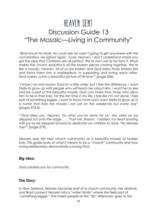## Heaven Sent Discussion Guide 13 "The Mosaic—Living in Community"

*"Brad shook his head, he could see he wasn't going to get anywhere with this conversation. He sighed again. 'Look, Heaven, I don't understand where you got the idea that Christians are all perfect. We're not—we're far from it. What makes the church beautiful is all the broken pieces coming together. We're like a mosaic, Heaven. All of us are broken and God takes those broken bits and forms them into a masterpiece. In supporting and loving each other, God makes us into a beautiful picture of His love'" (page 206).*

*"I know I've only known God for a little while, but I feel the difference. I want Stella to grow up with people who will teach her about Him. I want her to see and be a part of the beautiful mosaic God can make from those who allow Him to be in their lives. For the first time in my life, I feel like I'm not alone. I feel*  part of something bigger. I want to know more and I want Stella to grow up in *a home that lives the mosaic—not just on the weekends but every day" (pages 273-4).*

*"'God bless you, Heaven, for what you've done for us,' she cried as we stepped out onto the stage. . . . 'Trust me, Sharon,' I added, my heart bursting with joy as we stepped forward to dedicate our children to God, 'He already has!'" (page 279).*

Heaven sees her new church community as a beautiful mosaic of broken lives. This guide looks at what it means to be a "church" community and how loving relationships demonstrate a loving God.

## **Big Idea:**

God created you for community

## **The Story:**

In New Zealand, Heaven becomes part of a church community. Her relatives and Brad connect Heaven into a "wider family" where she feels part of "something bigger." She meets people at the "3D" afternoon, goes to the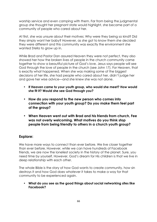worship service and even camping with them. Far from being the judgmental group she thought her pregnant state would highlight, she became part of a community of people who cared about her.

At first, she was unsure about their motives: Why were they being so kind? Did they simply want her baby? However, as she got to know them she decided they were different and this community was exactly the environment she wanted Stella to grow up in.

While Brad and Pastor Dan assured Heaven they were not perfect, they also showed her how the broken lives of people in the church community came together to show a beautiful picture of God's love. Jesus says people will see God through the love of people in the church (see John 17). For Heaven, that is exactly what happened. When she was making some of the biggest decisions of her life, she had people who cared about her, didn't judge her and gave her wise advice—and she knew she was not alone.

- **If Heaven came to your youth group, who would she meet? How would she fit it? Would she see God through you?**
- **How do you respond to the new person who comes into connection with your youth group? Do you make them feel part of the group?**
- **When Heaven went out with Brad and his friends from church, Fee was not overly welcoming. What motives do you think stop people from being friendly to others in a church youth group?**

## **Explore:**

We have more ways to connect than ever before. We live closer together than ever before. However, while we can have hundreds of Facebook friends, we are now the loneliest society in the history of the planet. Sure, you need time by yourself. However, God's dream for His children is that we live in deep relationship with each other.

The whole Bible is the story of how God wants to create community, how sin destroys it and how God does whatever it takes to make a way for that community to be experienced again.

• **What do you see as the good things about social networking sites like Facebook?**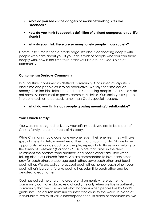- **What do you see as the dangers of social networking sites like Facebook?**
- **How do you think Facebook's definition of a friend compares to real life friends?**
- **Why do you think there are so many lonely people in our society?**

Community is more than a profile page. It's about connecting deeply with people who care about you. If you can't think of people who you can share deeply with, now is the time to re-order your life around God's plan of community.

#### **Consumerism Destroys Community**

In our culture, consumerism destroys community. Consumerism says life is about me and people exist to be productive. We say that time equals money. Relationships take time and that is one thing people in our society do not have. As consumerism grows, community shrinks. Our society turns people into commodities to be used, rather than God's special treasure.

• **What do you think stops people growing meaningful relationships?**

#### **Your Church Family:**

You were not designed to live by yourself; instead, you are to be a part of Christ's family, to be members of His body.

While Christians should care for everyone, even their enemies, they will take special interest in fellow members of their church community: "As we have opportunity, let us do good to all people, especially to those who belong to the family of believers" (Galatians 6:10). More than times in the New Testament the phrases "one another" and "each other" are used when talking about our church family. We are commanded to love each other, pray for each other, encourage each other, serve each other and teach each other. We are called to accept each other, honour each other, bear each other's burdens, forgive each other, submit to each other and be devoted to each other.

God has called the church to create environments where authentic community can take place. As a church, it is only when we live in authentic community that we can model what happens when people live by God's guidelines. The church must run counter-clockwise to the world. In place of individualism, we must value interdependence. In place of consumerism, we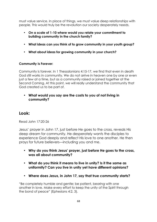must value service. In place of things, we must value deep relationships with people. This would truly be the revolution our society desperately needs.

- **On a scale of 1-10 where would you relate your commitment to building community in the church family?**
- **What ideas can you think of to grow community in your youth group?**
- **What about ideas for growing community in your church?**

## **Community Is Forever:**

Community is forever. In 1 Thessalonians 4:15-17, we find that even in death God still works in community. We do not arrive in heaven one by one or even just a few at a time, but as a community raised or joined together at the Second Coming. At this point, we will really understand the community that God created us to be part of.

## • **What would you say are the costs to you of not living in community?**

## **Look:**

Read John 17:20-26

Jesus' prayer in John 17, just before He goes to the cross, reveals His deep dream for community. He desperately wants the disciples to experience God deeply and reflect His love to one another. He then prays for future believers—including you and me.

- **Why do you think Jesus' prayer, just before He goes to the cross, was all about community?**
- **What do you think it means to live in unity? Is it the same as uniformity? Can you live in unity yet have different opinions?**
- **Where does Jesus, in John 17, say that true community starts?**

"Be completely humble and gentle; be patient, bearing with one another in love. Make every effort to keep the unity of the Spirit through the bond of peace" (Ephesians 4:2, 3).